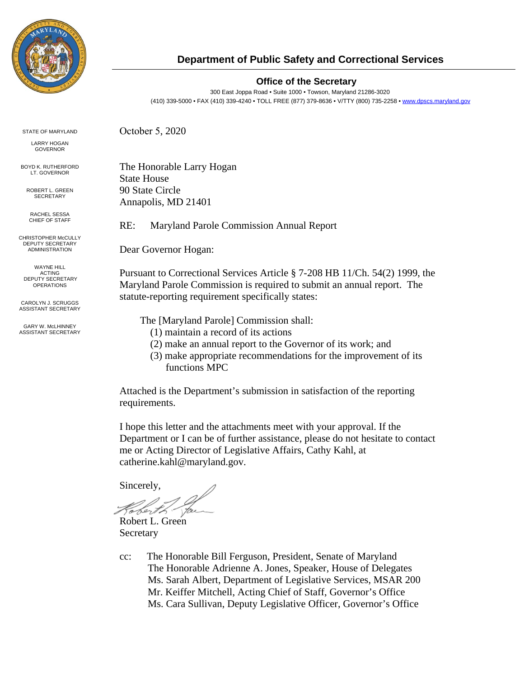

#### **Department of Public Safety and Correctional Services**

#### **Office of the Secretary**

300 East Joppa Road • Suite 1000 • Towson, Maryland 21286-3020 (410) 339-5000 • FAX (410) 339-4240 • TOLL FREE (877) 379-8636 • V/TTY (800) 735-2258 [• www.dpscs.maryland.gov](http://www.dpscs.maryland.gov/)

STATE OF MARYLAND

LARRY HOGAN GOVERNOR

BOYD K. RUTHERFORD **LT. GOVERNOR** 

ROBERT L. GREEN **SECRETARY** 

RACHEL SESSA CHIEF OF STAFF

CHRISTOPHER McCULLY DEPUTY SECRETARY ADMINISTRATION

WAYNE HILL ACTING DEPUTY SECRETARY **OPERATIONS** 

CAROLYN J. SCRUGGS ASSISTANT SECRETARY

GARY W. McLHINNEY ASSISTANT SECRETARY The Honorable Larry Hogan State House

90 State Circle Annapolis, MD 21401

October 5, 2020

RE: Maryland Parole Commission Annual Report

Dear Governor Hogan:

Pursuant to Correctional Services Article § 7-208 HB 11/Ch. 54(2) 1999, the Maryland Parole Commission is required to submit an annual report. The statute-reporting requirement specifically states:

The [Maryland Parole] Commission shall:

- (1) maintain a record of its actions
- (2) make an annual report to the Governor of its work; and
- (3) make appropriate recommendations for the improvement of its functions MPC

Attached is the Department's submission in satisfaction of the reporting requirements.

I hope this letter and the attachments meet with your approval. If the Department or I can be of further assistance, please do not hesitate to contact me or Acting Director of Legislative Affairs, Cathy Kahl, at catherine.kahl@maryland.gov.

Sincerely,

Sert

Robert L. Green Secretary

cc: The Honorable Bill Ferguson, President, Senate of Maryland The Honorable Adrienne A. Jones, Speaker, House of Delegates Ms. Sarah Albert, Department of Legislative Services, MSAR 200 Mr. Keiffer Mitchell, Acting Chief of Staff, Governor's Office Ms. Cara Sullivan, Deputy Legislative Officer, Governor's Office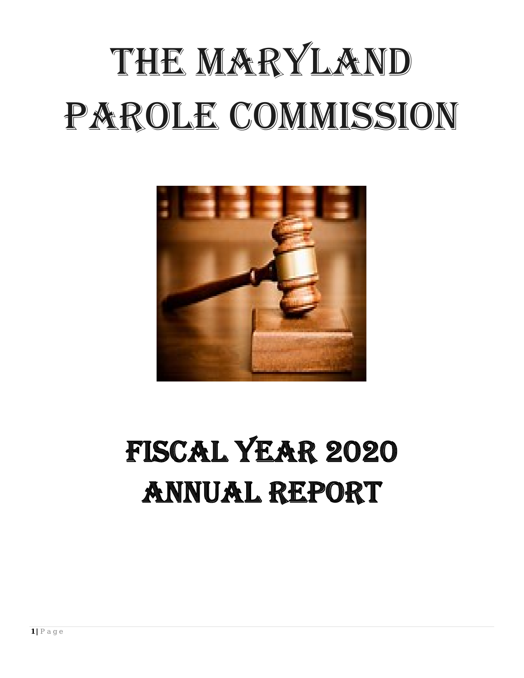# THE MARYLAND PAROLE COMMISSION



## **FISCAL YEAR 2020 ANNUAL REPORT**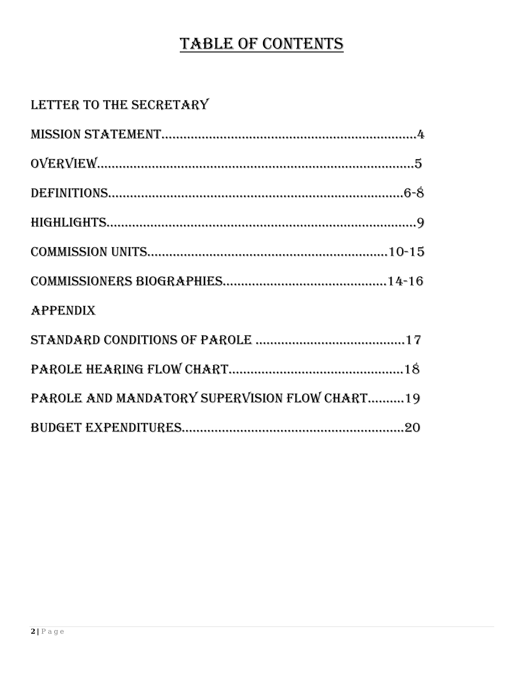## TABLE OF CONTENTS

### LETTER TO THE SECRETARY

| <b>APPENDIX</b>                               |
|-----------------------------------------------|
|                                               |
|                                               |
| PAROLE AND MANDATORY SUPERVISION FLOW CHART19 |
|                                               |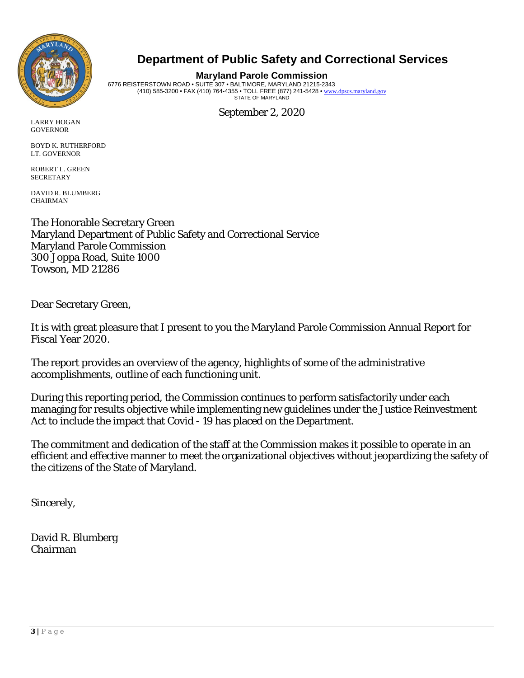

#### **Department of Public Safety and Correctional Services**

**Maryland Parole Commission** 6776 REISTERSTOWN ROAD • SUITE 307 • BALTIMORE, MARYLAND 21215-2343 (410) 585-3200 • FAX (410) 764-4355 • TOLL FREE (877) 241-5428 • [www.dpscs.maryland.gov](http://www.dpscs.maryland.gov/) STATE OF MARYLAND

September 2, 2020

LARRY HOGAN **GOVERNOR** 

BOYD K. RUTHERFORD LT. GOVERNOR

ROBERT L. GREEN **SECRETARY** 

DAVID R. BLUMBERG CHAIRMAN

The Honorable Secretary Green Maryland Department of Public Safety and Correctional Service Maryland Parole Commission 300 Joppa Road, Suite 1000 Towson, MD 21286

Dear Secretary Green,

It is with great pleasure that I present to you the Maryland Parole Commission Annual Report for Fiscal Year 2020.

The report provides an overview of the agency, highlights of some of the administrative accomplishments, outline of each functioning unit.

During this reporting period, the Commission continues to perform satisfactorily under each managing for results objective while implementing new guidelines under the Justice Reinvestment Act to include the impact that Covid - 19 has placed on the Department.

The commitment and dedication of the staff at the Commission makes it possible to operate in an efficient and effective manner to meet the organizational objectives without jeopardizing the safety of the citizens of the State of Maryland.

Sincerely,

David R. Blumberg Chairman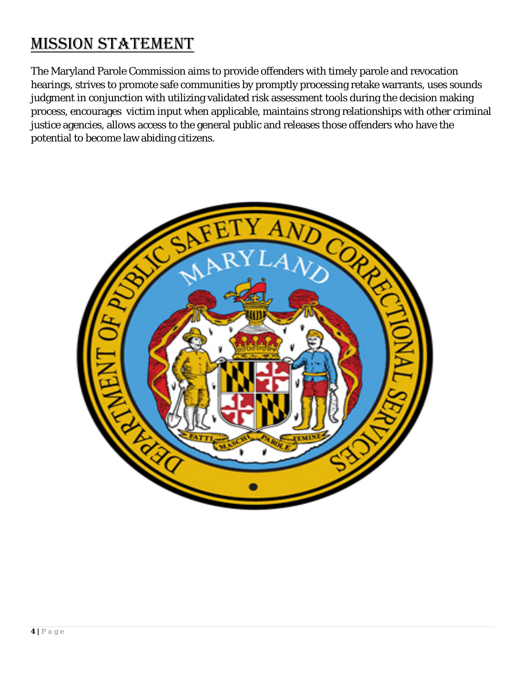## MISSION STATEMENT

The Maryland Parole Commission aims to provide offenders with timely parole and revocation hearings, strives to promote safe communities by promptly processing retake warrants, uses sounds judgment in conjunction with utilizing validated risk assessment tools during the decision making process, encourages victim input when applicable, maintains strong relationships with other criminal justice agencies, allows access to the general public and releases those offenders who have the potential to become law abiding citizens.

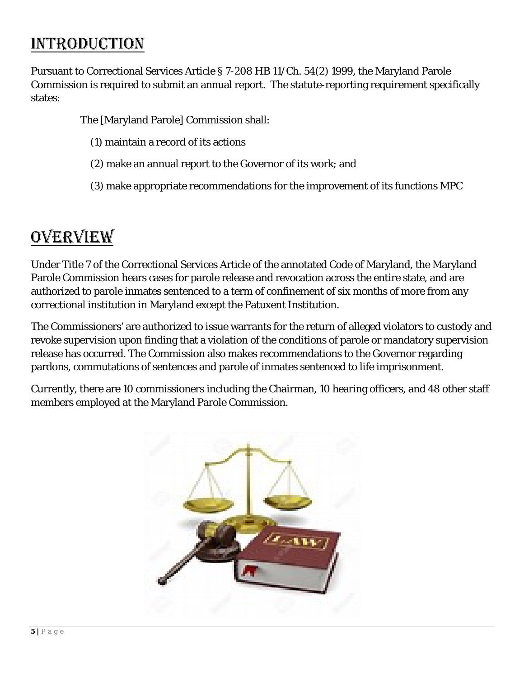## INTRODUCTION

Pursuant to Correctional Services Article § 7-208 HB 11/Ch. 54(2) 1999, the Maryland Parole Commission is required to submit an annual report. The statute-reporting requirement specifically states:

The [Maryland Parole] Commission shall:

- (1) maintain a record of its actions
- (2) make an annual report to the Governor of its work; and
- (3) make appropriate recommendations for the improvement of its functions MPC

## OVERVIEW

Under Title 7 of the Correctional Services Article of the annotated Code of Maryland, the Maryland Parole Commission hears cases for parole release and revocation across the entire state, and are authorized to parole inmates sentenced to a term of confinement of six months of more from any correctional institution in Maryland except the Patuxent Institution.

The Commissioners' are authorized to issue warrants for the return of alleged violators to custody and revoke supervision upon finding that a violation of the conditions of parole or mandatory supervision release has occurred. The Commission also makes recommendations to the Governor regarding pardons, commutations of sentences and parole of inmates sentenced to life imprisonment.

Currently, there are 10 commissioners including the Chairman, 10 hearing officers, and 48 other staff members employed at the Maryland Parole Commission.

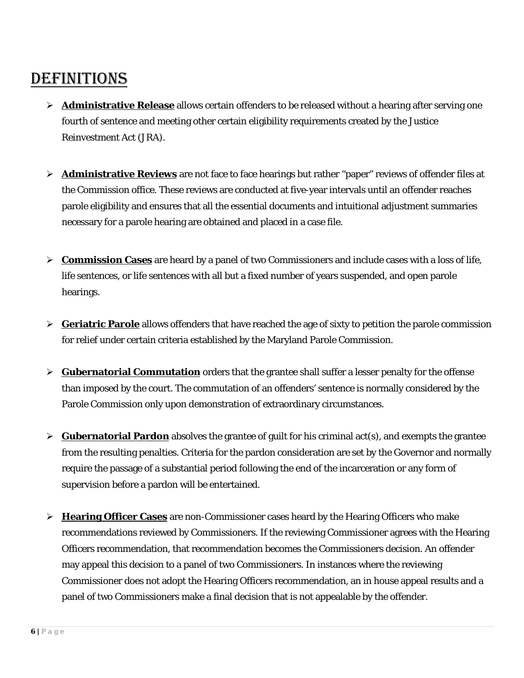## DEFINITIONS

- **Administrative Release** allows certain offenders to be released without a hearing after serving one fourth of sentence and meeting other certain eligibility requirements created by the Justice Reinvestment Act (JRA).
- **Administrative Reviews** are not face to face hearings but rather "paper" reviews of offender files at the Commission office. These reviews are conducted at five-year intervals until an offender reaches parole eligibility and ensures that all the essential documents and intuitional adjustment summaries necessary for a parole hearing are obtained and placed in a case file.
- **Commission Cases** are heard by a panel of two Commissioners and include cases with a loss of life, life sentences, or life sentences with all but a fixed number of years suspended, and open parole hearings.
- **Geriatric Parole** allows offenders that have reached the age of sixty to petition the parole commission for relief under certain criteria established by the Maryland Parole Commission.
- **Gubernatorial Commutation** orders that the grantee shall suffer a lesser penalty for the offense than imposed by the court. The commutation of an offenders' sentence is normally considered by the Parole Commission only upon demonstration of extraordinary circumstances.
- $\triangleright$  **Gubernatorial Pardon** absolves the grantee of guilt for his criminal act(s), and exempts the grantee from the resulting penalties. Criteria for the pardon consideration are set by the Governor and normally require the passage of a substantial period following the end of the incarceration or any form of supervision before a pardon will be entertained.
- **Hearing Officer Cases** are non-Commissioner cases heard by the Hearing Officers who make recommendations reviewed by Commissioners. If the reviewing Commissioner agrees with the Hearing Officers recommendation, that recommendation becomes the Commissioners decision. An offender may appeal this decision to a panel of two Commissioners. In instances where the reviewing Commissioner does not adopt the Hearing Officers recommendation, an in house appeal results and a panel of two Commissioners make a final decision that is not appealable by the offender.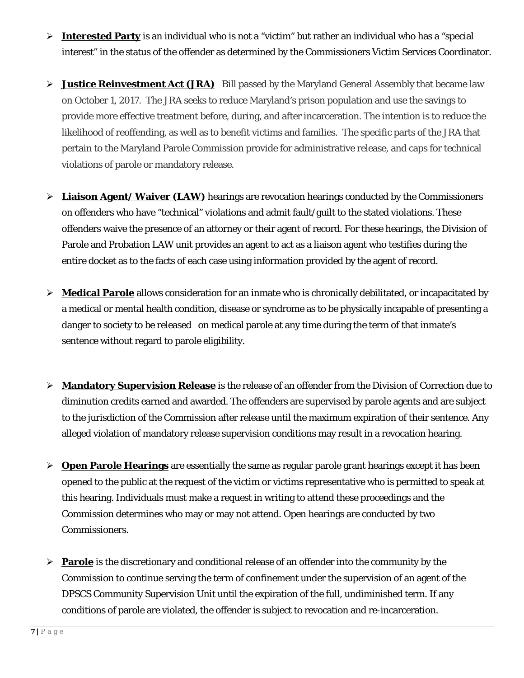- **Interested Party** is an individual who is not a "victim" but rather an individual who has a "special interest" in the status of the offender as determined by the Commissioners Victim Services Coordinator.
- > Justice Reinvestment Act (JRA) Bill passed by the Maryland General Assembly that became law on October 1, 2017. The JRA seeks to reduce Maryland's prison population and use the savings to provide more effective treatment before, during, and after incarceration. The intention is to reduce the likelihood of reoffending, as well as to benefit victims and families. The specific parts of the JRA that pertain to the Maryland Parole Commission provide for administrative release, and caps for technical violations of parole or mandatory release.
- $\triangleright$  **Liaison Agent/ Waiver (LAW)** hearings are revocation hearings conducted by the Commissioners on offenders who have "technical" violations and admit fault/guilt to the stated violations. These offenders waive the presence of an attorney or their agent of record. For these hearings, the Division of Parole and Probation LAW unit provides an agent to act as a liaison agent who testifies during the entire docket as to the facts of each case using information provided by the agent of record.
- **Medical Parole** allows consideration for an inmate who is chronically debilitated, or incapacitated by a medical or mental health condition, disease or syndrome as to be physically incapable of presenting a danger to society to be released on medical parole at any time during the term of that inmate's sentence without regard to parole eligibility.
- **Mandatory Supervision Release** is the release of an offender from the Division of Correction due to diminution credits earned and awarded. The offenders are supervised by parole agents and are subject to the jurisdiction of the Commission after release until the maximum expiration of their sentence. Any alleged violation of mandatory release supervision conditions may result in a revocation hearing.
- **Open Parole Hearings** are essentially the same as regular parole grant hearings except it has been opened to the public at the request of the victim or victims representative who is permitted to speak at this hearing. Individuals must make a request in writing to attend these proceedings and the Commission determines who may or may not attend. Open hearings are conducted by two Commissioners.
- **Parole** is the discretionary and conditional release of an offender into the community by the Commission to continue serving the term of confinement under the supervision of an agent of the DPSCS Community Supervision Unit until the expiration of the full, undiminished term. If any conditions of parole are violated, the offender is subject to revocation and re-incarceration.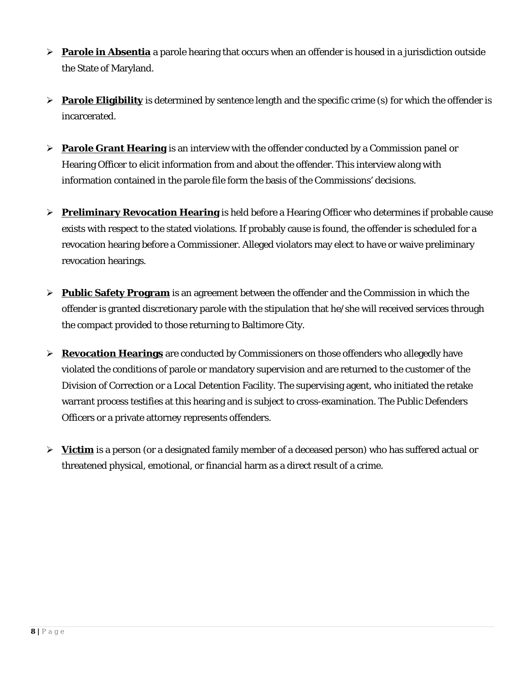- **Parole in Absentia** a parole hearing that occurs when an offender is housed in a jurisdiction outside the State of Maryland.
- **Parole Eligibility** is determined by sentence length and the specific crime (s) for which the offender is incarcerated.
- **Parole Grant Hearing** is an interview with the offender conducted by a Commission panel or Hearing Officer to elicit information from and about the offender. This interview along with information contained in the parole file form the basis of the Commissions' decisions.
- **Preliminary Revocation Hearing** is held before a Hearing Officer who determines if probable cause exists with respect to the stated violations. If probably cause is found, the offender is scheduled for a revocation hearing before a Commissioner. Alleged violators may elect to have or waive preliminary revocation hearings.
- **Public Safety Program** is an agreement between the offender and the Commission in which the offender is granted discretionary parole with the stipulation that he/she will received services through the compact provided to those returning to Baltimore City.
- **Revocation Hearings** are conducted by Commissioners on those offenders who allegedly have violated the conditions of parole or mandatory supervision and are returned to the customer of the Division of Correction or a Local Detention Facility. The supervising agent, who initiated the retake warrant process testifies at this hearing and is subject to cross-examination. The Public Defenders Officers or a private attorney represents offenders.
- **Victim** is a person (or a designated family member of a deceased person) who has suffered actual or threatened physical, emotional, or financial harm as a direct result of a crime.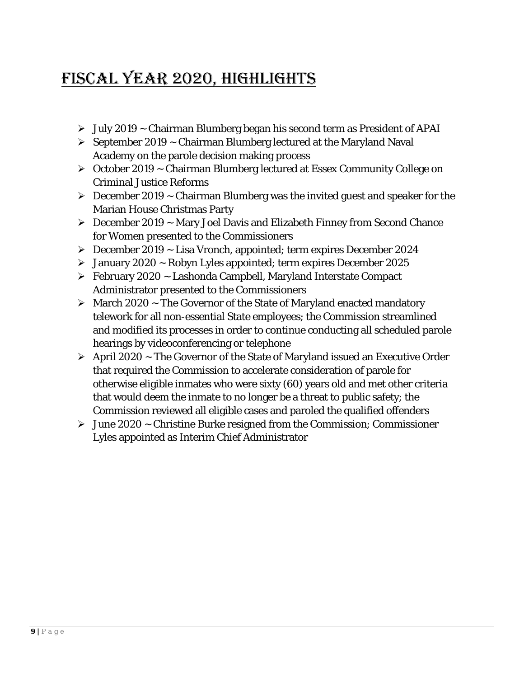## Fiscal Year 2020, HIGHLIGHTS

- $\triangleright$  July 2019 ~ Chairman Blumberg began his second term as President of APAI
- $\triangleright$  September 2019 ~ Chairman Blumberg lectured at the Maryland Naval Academy on the parole decision making process
- October 2019 ~ Chairman Blumberg lectured at Essex Community College on Criminal Justice Reforms
- $\triangleright$  December 2019 ~ Chairman Blumberg was the invited guest and speaker for the Marian House Christmas Party
- $\triangleright$  December 2019 ~ Mary Joel Davis and Elizabeth Finney from Second Chance for Women presented to the Commissioners
- $\triangleright$  December 2019 ~ Lisa Vronch, appointed; term expires December 2024
- $\geq$  January 2020 ~ Robyn Lyles appointed; term expires December 2025
- $\triangleright$  February 2020 ~ Lashonda Campbell, Maryland Interstate Compact Administrator presented to the Commissioners
- $\triangleright$  March 2020 ~ The Governor of the State of Maryland enacted mandatory telework for all non-essential State employees; the Commission streamlined and modified its processes in order to continue conducting all scheduled parole hearings by videoconferencing or telephone
- $\triangleright$  April 2020 ~ The Governor of the State of Maryland issued an Executive Order that required the Commission to accelerate consideration of parole for otherwise eligible inmates who were sixty (60) years old and met other criteria that would deem the inmate to no longer be a threat to public safety; the Commission reviewed all eligible cases and paroled the qualified offenders
- $\triangleright$  June 2020 ~ Christine Burke resigned from the Commission; Commissioner Lyles appointed as Interim Chief Administrator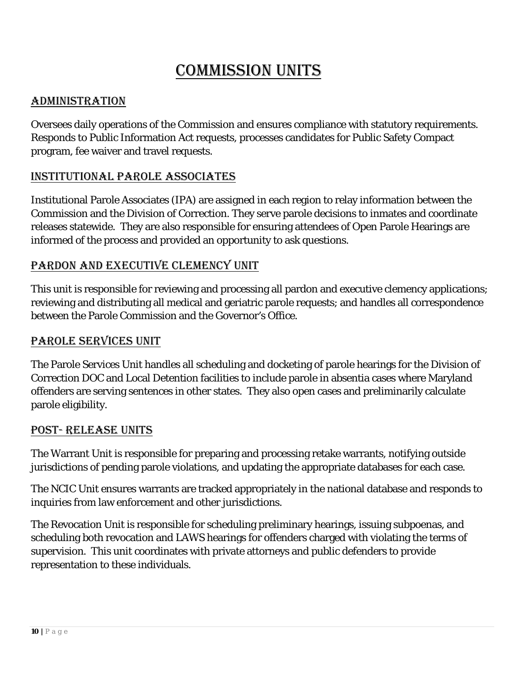## Commission Units

#### ADMINISTRATION

Oversees daily operations of the Commission and ensures compliance with statutory requirements. Responds to Public Information Act requests, processes candidates for Public Safety Compact program, fee waiver and travel requests.

#### Institutional Parole Associates

Institutional Parole Associates (IPA) are assigned in each region to relay information between the Commission and the Division of Correction. They serve parole decisions to inmates and coordinate releases statewide. They are also responsible for ensuring attendees of Open Parole Hearings are informed of the process and provided an opportunity to ask questions.

#### Pardon and Executive Clemency UNIT

This unit is responsible for reviewing and processing all pardon and executive clemency applications; reviewing and distributing all medical and geriatric parole requests; and handles all correspondence between the Parole Commission and the Governor's Office.

#### Parole Services UNIT

The Parole Services Unit handles all scheduling and docketing of parole hearings for the Division of Correction DOC and Local Detention facilities to include parole in absentia cases where Maryland offenders are serving sentences in other states. They also open cases and preliminarily calculate parole eligibility.

#### POST- RELEASE UNITS

The Warrant Unit is responsible for preparing and processing retake warrants, notifying outside jurisdictions of pending parole violations, and updating the appropriate databases for each case.

The NCIC Unit ensures warrants are tracked appropriately in the national database and responds to inquiries from law enforcement and other jurisdictions.

The Revocation Unit is responsible for scheduling preliminary hearings, issuing subpoenas, and scheduling both revocation and LAWS hearings for offenders charged with violating the terms of supervision. This unit coordinates with private attorneys and public defenders to provide representation to these individuals.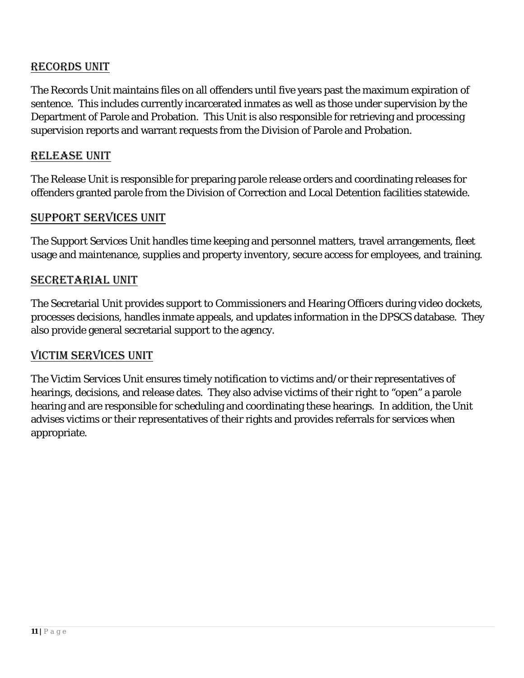#### RECORDS UNIT

The Records Unit maintains files on all offenders until five years past the maximum expiration of sentence. This includes currently incarcerated inmates as well as those under supervision by the Department of Parole and Probation. This Unit is also responsible for retrieving and processing supervision reports and warrant requests from the Division of Parole and Probation.

#### RELEASE UNIT

The Release Unit is responsible for preparing parole release orders and coordinating releases for offenders granted parole from the Division of Correction and Local Detention facilities statewide.

#### SUPPORT SERVICES UNIT

The Support Services Unit handles time keeping and personnel matters, travel arrangements, fleet usage and maintenance, supplies and property inventory, secure access for employees, and training.

#### SECRETARIAL UNIT

The Secretarial Unit provides support to Commissioners and Hearing Officers during video dockets, processes decisions, handles inmate appeals, and updates information in the DPSCS database. They also provide general secretarial support to the agency.

#### Victim Services UNIT

The Victim Services Unit ensures timely notification to victims and/or their representatives of hearings, decisions, and release dates. They also advise victims of their right to "open" a parole hearing and are responsible for scheduling and coordinating these hearings. In addition, the Unit advises victims or their representatives of their rights and provides referrals for services when appropriate.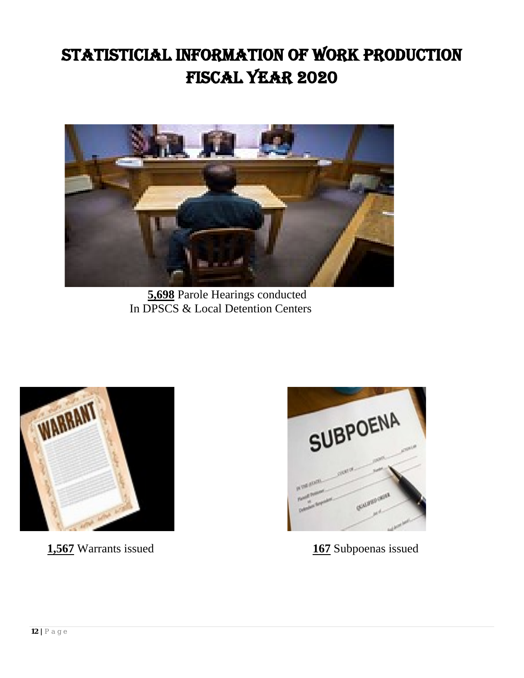## STATISTICIAL INFORMATION OF WORK PRODUCTION Fiscal year 2020



 **5,698** Parole Hearings conducted In DPSCS & Local Detention Centers



**1,567** Warrants issued **167** Subpoenas issued

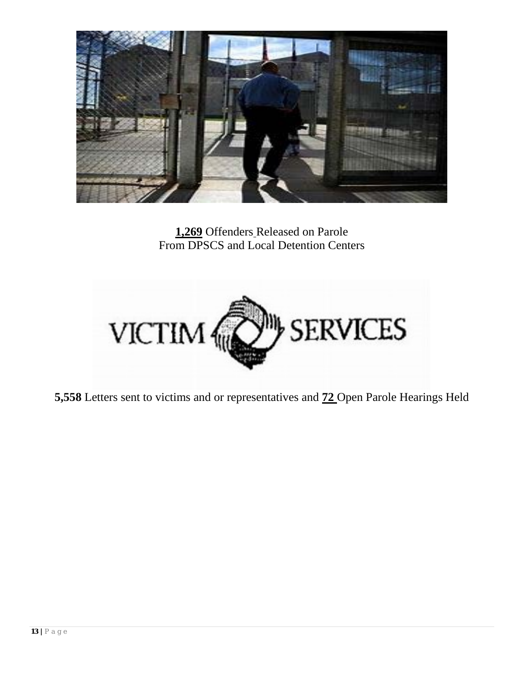

**1,269** Offenders Released on Parole From DPSCS and Local Detention Centers



**5,558** Letters sent to victims and or representatives and **72** Open Parole Hearings Held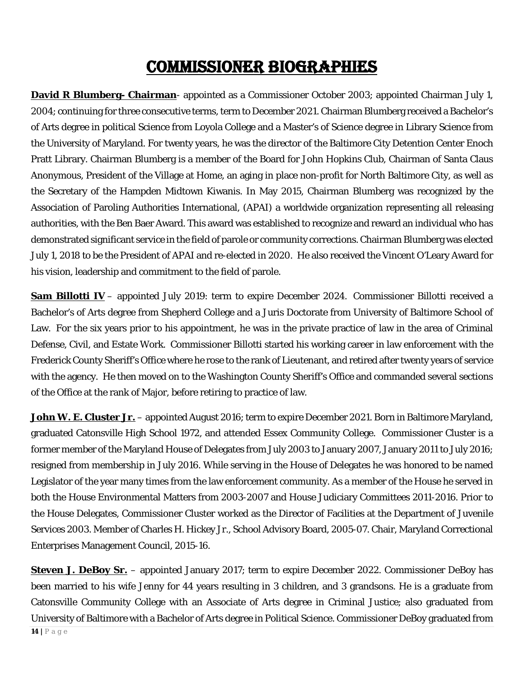## COMMISSIONER BIOGRAPHIES

**David R Blumberg- Chairman**- appointed as a Commissioner October 2003; appointed Chairman July 1, 2004; continuing for three consecutive terms, term to December 2021. Chairman Blumberg received a Bachelor's of Arts degree in political Science from Loyola College and a Master's of Science degree in Library Science from the University of Maryland. For twenty years, he was the director of the Baltimore City Detention Center Enoch Pratt Library. Chairman Blumberg is a member of the Board for John Hopkins Club, Chairman of Santa Claus Anonymous, President of the Village at Home, an aging in place non-profit for North Baltimore City, as well as the Secretary of the Hampden Midtown Kiwanis. In May 2015, Chairman Blumberg was recognized by the Association of Paroling Authorities International, (APAI) a worldwide organization representing all releasing authorities, with the Ben Baer Award. This award was established to recognize and reward an individual who has demonstrated significant service in the field of parole or community corrections. Chairman Blumberg was elected July 1, 2018 to be the President of APAI and re-elected in 2020. He also received the Vincent O'Leary Award for his vision, leadership and commitment to the field of parole.

**Sam Billotti IV** – appointed July 2019: term to expire December 2024. Commissioner Billotti received a Bachelor's of Arts degree from Shepherd College and a Juris Doctorate from University of Baltimore School of Law. For the six years prior to his appointment, he was in the private practice of law in the area of Criminal Defense, Civil, and Estate Work. Commissioner Billotti started his working career in law enforcement with the Frederick County Sheriff's Office where he rose to the rank of Lieutenant, and retired after twenty years of service with the agency. He then moved on to the Washington County Sheriff's Office and commanded several sections of the Office at the rank of Major, before retiring to practice of law.

**John W. E. Cluster Jr.** – appointed August 2016; term to expire December 2021. Born in Baltimore Maryland, graduated Catonsville High School 1972, and attended Essex Community College. Commissioner Cluster is a former member of the Maryland House of Delegates from July 2003 to January 2007, January 2011 to July 2016; resigned from membership in July 2016. While serving in the House of Delegates he was honored to be named Legislator of the year many times from the law enforcement community. As a member of the House he served in both the House Environmental Matters from 2003-2007 and House Judiciary Committees 2011-2016. Prior to the House Delegates, Commissioner Cluster worked as the Director of Facilities at the Department of Juvenile Services 2003. Member of Charles H. Hickey Jr., School Advisory Board, 2005-07. Chair, Maryland Correctional Enterprises Management Council, 2015-16.

**Steven J. DeBoy Sr.** – appointed January 2017; term to expire December 2022. Commissioner DeBoy has been married to his wife Jenny for 44 years resulting in 3 children, and 3 grandsons. He is a graduate from Catonsville Community College with an Associate of Arts degree in Criminal Justice; also graduated from University of Baltimore with a Bachelor of Arts degree in Political Science. Commissioner DeBoy graduated from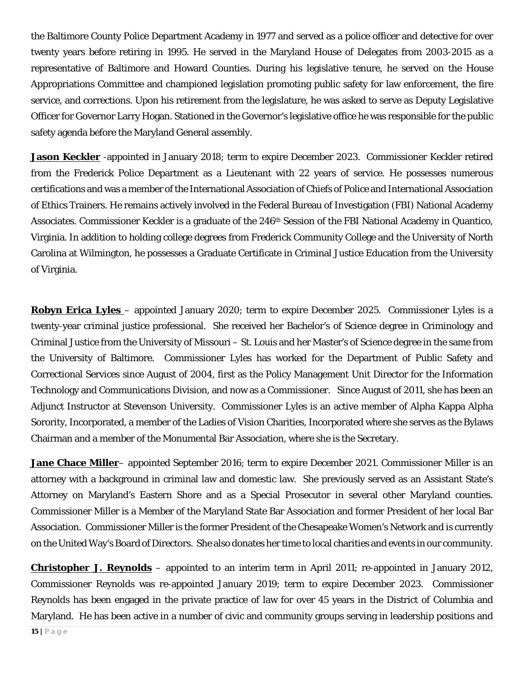the Baltimore County Police Department Academy in 1977 and served as a police officer and detective for over twenty years before retiring in 1995. He served in the Maryland House of Delegates from 2003-2015 as a representative of Baltimore and Howard Counties. During his legislative tenure, he served on the House Appropriations Committee and championed legislation promoting public safety for law enforcement, the fire service, and corrections. Upon his retirement from the legislature, he was asked to serve as Deputy Legislative Officer for Governor Larry Hogan. Stationed in the Governor's legislative office he was responsible for the public safety agenda before the Maryland General assembly.

**Jason Keckler** -appointed in January 2018; term to expire December 2023. Commissioner Keckler retired from the Frederick Police Department as a Lieutenant with 22 years of service. He possesses numerous certifications and was a member of the International Association of Chiefs of Police and International Association of Ethics Trainers. He remains actively involved in the Federal Bureau of Investigation (FBI) National Academy Associates. Commissioner Keckler is a graduate of the 246<sup>th</sup> Session of the FBI National Academy in Quantico, Virginia. In addition to holding college degrees from Frederick Community College and the University of North Carolina at Wilmington, he possesses a Graduate Certificate in Criminal Justice Education from the University of Virginia.

**Robyn Erica Lyles** – appointed January 2020; term to expire December 2025. Commissioner Lyles is a twenty-year criminal justice professional. She received her Bachelor's of Science degree in Criminology and Criminal Justice from the University of Missouri – St. Louis and her Master's of Science degree in the same from the University of Baltimore. Commissioner Lyles has worked for the Department of Public Safety and Correctional Services since August of 2004, first as the Policy Management Unit Director for the Information Technology and Communications Division, and now as a Commissioner. Since August of 2011, she has been an Adjunct Instructor at Stevenson University. Commissioner Lyles is an active member of Alpha Kappa Alpha Sorority, Incorporated, a member of the Ladies of Vision Charities, Incorporated where she serves as the Bylaws Chairman and a member of the Monumental Bar Association, where she is the Secretary.

**Jane Chace Miller**– appointed September 2016; term to expire December 2021. Commissioner Miller is an attorney with a background in criminal law and domestic law. She previously served as an Assistant State's Attorney on Maryland's Eastern Shore and as a Special Prosecutor in several other Maryland counties. Commissioner Miller is a Member of the Maryland State Bar Association and former President of her local Bar Association. Commissioner Miller is the former President of the Chesapeake Women's Network and is currently on the United Way's Board of Directors. She also donates her time to local charities and events in our community.

**Christopher J. Reynolds** – appointed to an interim term in April 2011; re-appointed in January 2012, Commissioner Reynolds was re-appointed January 2019; term to expire December 2023. Commissioner Reynolds has been engaged in the private practice of law for over 45 years in the District of Columbia and Maryland. He has been active in a number of civic and community groups serving in leadership positions and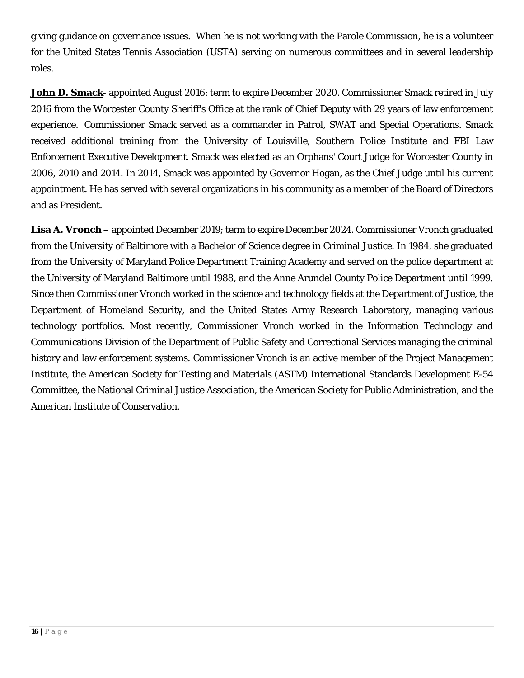giving guidance on governance issues. When he is not working with the Parole Commission, he is a volunteer for the United States Tennis Association (USTA) serving on numerous committees and in several leadership roles.

**John D. Smack**- appointed August 2016: term to expire December 2020. Commissioner Smack retired in July 2016 from the Worcester County Sheriff's Office at the rank of Chief Deputy with 29 years of law enforcement experience. Commissioner Smack served as a commander in Patrol, SWAT and Special Operations. Smack received additional training from the University of Louisville, Southern Police Institute and FBI Law Enforcement Executive Development. Smack was elected as an Orphans' Court Judge for Worcester County in 2006, 2010 and 2014. In 2014, Smack was appointed by Governor Hogan, as the Chief Judge until his current appointment. He has served with several organizations in his community as a member of the Board of Directors and as President.

**Lisa A. Vronch** – appointed December 2019; term to expire December 2024. Commissioner Vronch graduated from the University of Baltimore with a Bachelor of Science degree in Criminal Justice. In 1984, she graduated from the University of Maryland Police Department Training Academy and served on the police department at the University of Maryland Baltimore until 1988, and the Anne Arundel County Police Department until 1999. Since then Commissioner Vronch worked in the science and technology fields at the Department of Justice, the Department of Homeland Security, and the United States Army Research Laboratory, managing various technology portfolios. Most recently, Commissioner Vronch worked in the Information Technology and Communications Division of the Department of Public Safety and Correctional Services managing the criminal history and law enforcement systems. Commissioner Vronch is an active member of the Project Management Institute, the American Society for Testing and Materials (ASTM) International Standards Development E-54 Committee, the National Criminal Justice Association, the American Society for Public Administration, and the American Institute of Conservation.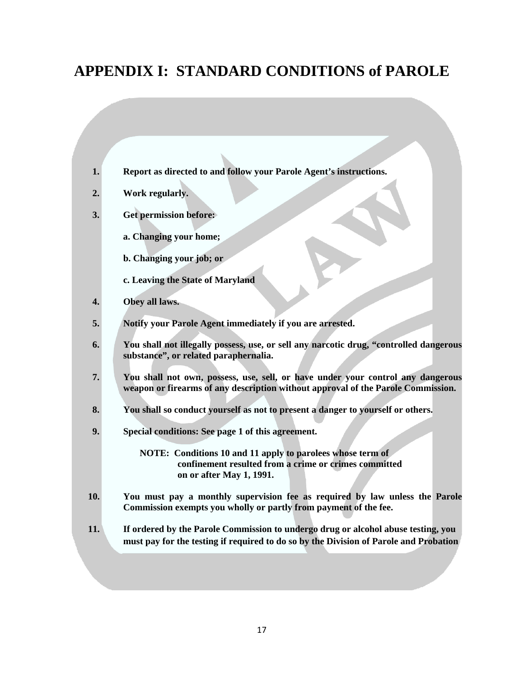## **APPENDIX I: STANDARD CONDITIONS of PAROLE**

| 1.  | Report as directed to and follow your Parole Agent's instructions.                                                                                                         |  |  |
|-----|----------------------------------------------------------------------------------------------------------------------------------------------------------------------------|--|--|
| 2.  | Work regularly.                                                                                                                                                            |  |  |
| 3.  | <b>Get permission before:</b>                                                                                                                                              |  |  |
|     | a. Changing your home;                                                                                                                                                     |  |  |
|     | b. Changing your job; or                                                                                                                                                   |  |  |
|     | c. Leaving the State of Maryland                                                                                                                                           |  |  |
| 4.  | Obey all laws.                                                                                                                                                             |  |  |
| 5.  | Notify your Parole Agent immediately if you are arrested.                                                                                                                  |  |  |
| 6.  | You shall not illegally possess, use, or sell any narcotic drug, "controlled dangerous<br>substance", or related paraphernalia.                                            |  |  |
| 7.  | You shall not own, possess, use, sell, or have under your control any dangerous<br>weapon or firearms of any description without approval of the Parole Commission.        |  |  |
| 8.  | You shall so conduct yourself as not to present a danger to yourself or others.                                                                                            |  |  |
| 9.  | Special conditions: See page 1 of this agreement.                                                                                                                          |  |  |
|     | NOTE: Conditions 10 and 11 apply to parolees whose term of<br>confinement resulted from a crime or crimes committed<br>on or after May 1, 1991.                            |  |  |
| 10. | You must pay a monthly supervision fee as required by law unless the Parole<br>Commission exempts you wholly or partly from payment of the fee.                            |  |  |
| 11. | If ordered by the Parole Commission to undergo drug or alcohol abuse testing, you<br>must pay for the testing if required to do so by the Division of Parole and Probation |  |  |
|     |                                                                                                                                                                            |  |  |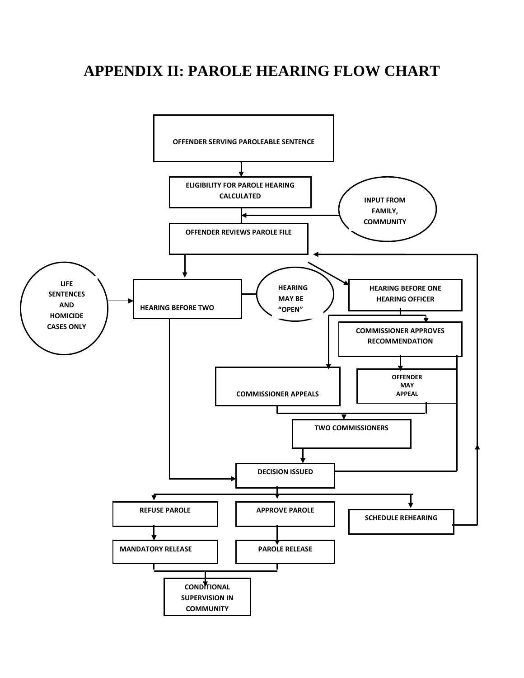## **APPENDIX II: PAROLE HEARING FLOW CHART**

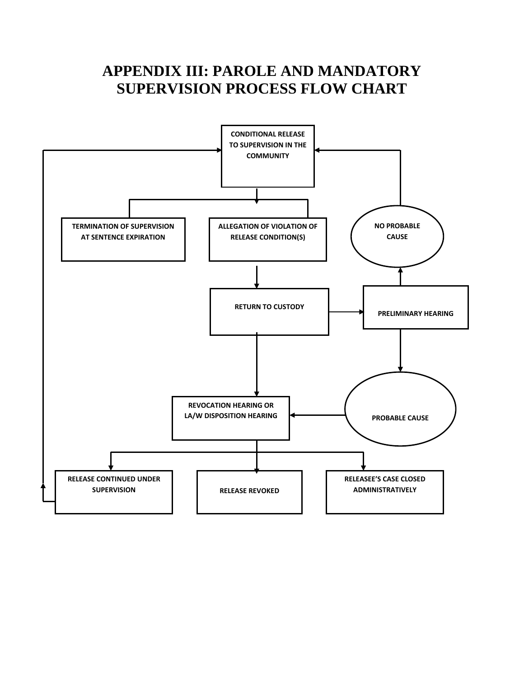## **APPENDIX III: PAROLE AND MANDATORY SUPERVISION PROCESS FLOW CHART**